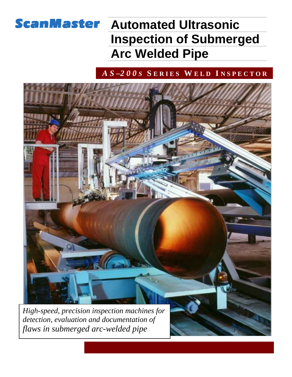## **ScanMaster Automated Ultrasonic Inspection of Submerged Arc Welded Pipe**

### *A S –2 0 0 S* **S E R I E S W E L D I N S P E C T O R**



*detection, evaluation and documentation of flaws in submerged arc-welded pipe*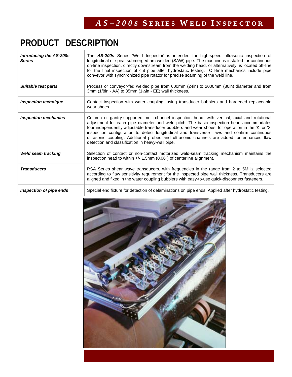# **PRODUCT DESCRIPTION**

| <b>Introducing the AS-200s</b><br><b>Series</b> | The AS-200s Series 'Weld Inspector' is intended for high-speed ultrasonic inspection of<br>longitudinal or spiral submerged arc welded (SAW) pipe. The machine is installed for continuous<br>on-line inspection, directly downstream from the welding head, or alternatively, is located off-line<br>for the final inspection of cut pipe after hydrostatic testing. Off-line mechanics include pipe<br>conveyor with synchronized pipe rotator for precise scanning of the weld line.                                                         |
|-------------------------------------------------|-------------------------------------------------------------------------------------------------------------------------------------------------------------------------------------------------------------------------------------------------------------------------------------------------------------------------------------------------------------------------------------------------------------------------------------------------------------------------------------------------------------------------------------------------|
| Suitable test parts                             | Process or conveyor-fed welded pipe from 600mm (24in) to 2000mm (80in) diameter and from<br>3mm ( $1/8$ in - AA) to 35mm ( $1\frac{1}{2}$ in - EE) wall thickness.                                                                                                                                                                                                                                                                                                                                                                              |
| <b>Inspection technique</b>                     | Contact inspection with water coupling, using transducer bubblers and hardened replaceable<br>wear shoes.                                                                                                                                                                                                                                                                                                                                                                                                                                       |
| <b>Inspection mechanics</b>                     | Column or gantry-supported multi-channel inspection head, with vertical, axial and rotational<br>adjustment for each pipe diameter and weld pitch. The basic inspection head accommodates<br>four independently adjustable transducer bubblers and wear shoes, for operation in the 'K' or 'X'<br>inspection configuration to detect longitudinal and transverse flaws and confirm continuous<br>ultrasonic coupling. Additional probes and ultrasonic channels are added for enhanced flaw<br>detection and classification in heavy-wall pipe. |
| <b>Weld seam tracking</b>                       | Selection of contact or non-contact motorized weld-seam tracking mechanism maintains the<br>inspection head to within $+/- 1.5$ mm (0.06") of centerline alignment.                                                                                                                                                                                                                                                                                                                                                                             |
| <b>Transducers</b>                              | RSA Series shear wave transducers, with frequencies in the range from 2 to 5MHz selected<br>according to flaw sensitivity requirement for the inspected pipe wall thickness. Transducers are<br>aligned and fixed in the water coupling bubblers with easy-to-use quick-disconnect fasteners.                                                                                                                                                                                                                                                   |
| Inspection of pipe ends                         | Special end fixture for detection of delaminations on pipe ends. Applied after hydrostatic testing.                                                                                                                                                                                                                                                                                                                                                                                                                                             |

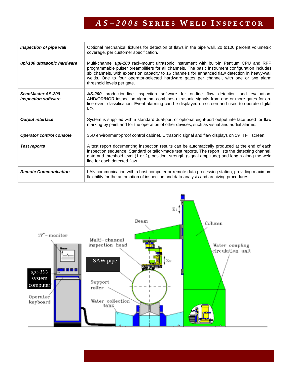## *A S – 2 0 0 S* **S E R I E S W E L D I N S P E C T O R**

| Inspection of pipe wall                         | Optional mechanical fixtures for detection of flaws in the pipe wall. 20 to 100 percent volumetric<br>coverage, per customer specification.                                                                                                                                                                                                                                                                                  |
|-------------------------------------------------|------------------------------------------------------------------------------------------------------------------------------------------------------------------------------------------------------------------------------------------------------------------------------------------------------------------------------------------------------------------------------------------------------------------------------|
| upi-100 ultrasonic hardware                     | Multi-channel <i>upi-100</i> rack-mount ultrasonic instrument with built-in Pentium CPU and RPP<br>programmable pulser preamplifiers for all channels. The basic instrument configuration includes<br>six channels, with expansion capacity to 16 channels for enhanced flaw detection in heavy-wall<br>welds. One to four operator-selected hardware gates per channel, with one or two alarm<br>threshold levels per gate. |
| ScanMaster AS-200<br><i>inspection software</i> | <b>AS-200</b> production-line inspection software for on-line flaw detection and evaluation.<br>AND/OR/NOR inspection algorithm combines ultrasonic signals from one or more gates for on-<br>line event classification. Event alarming can be displayed on-screen and used to operate digital<br>$I/O$ .                                                                                                                    |
| <b>Output interface</b>                         | System is supplied with a standard dual-port or optional eight-port output interface used for flaw<br>marking by paint and for the operation of other devices, such as visual and audial alarms.                                                                                                                                                                                                                             |
| <b>Operator control console</b>                 | 35U environment-proof control cabinet. Ultrasonic signal and flaw displays on 19" TFT screen.                                                                                                                                                                                                                                                                                                                                |
| <b>Test reports</b>                             | A test report documenting inspection results can be automatically produced at the end of each<br>inspection sequence. Standard or tailor-made test reports. The report lists the detecting channel,<br>gate and threshold level (1 or 2), position, strength (signal amplitude) and length along the weld<br>line for each detected flaw.                                                                                    |
| <b>Remote Communication</b>                     | LAN communication with a host computer or remote data processing station, providing maximum<br>flexibility for the automation of inspection and data analysis and archiving procedures.                                                                                                                                                                                                                                      |